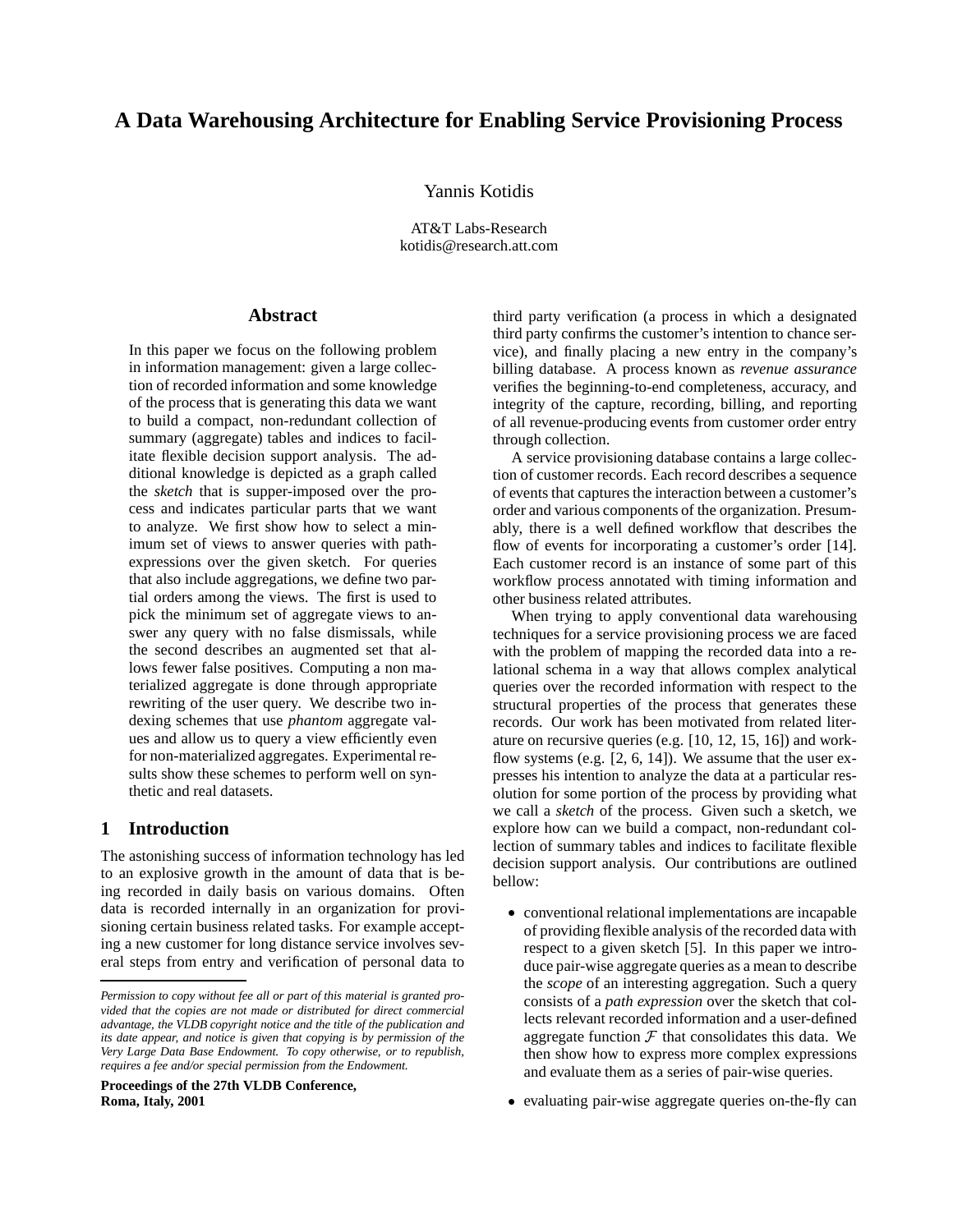# **A Data Warehousing Architecture for Enabling Service Provisioning Process**

Yannis Kotidis

AT&T Labs-Research kotidis@research.att.com

### **Abstract**

In this paper we focus on the following problem in information management: given a large collection of recorded information and some knowledge of the process that is generating this data we want to build a compact, non-redundant collection of summary (aggregate) tables and indices to facilitate flexible decision support analysis. The additional knowledge is depicted as a graph called the *sketch* that is supper-imposed over the process and indicates particular parts that we want to analyze. We first show how to select a minimum set of views to answer queries with pathexpressions over the given sketch. For queries that also include aggregations, we define two partial orders among the views. The first is used to pick the minimum set of aggregate views to answer any query with no false dismissals, while the second describes an augmented set that allows fewer false positives. Computing a non materialized aggregate is done through appropriate rewriting of the user query. We describe two indexing schemes that use *phantom* aggregate values and allow us to query a view efficiently even for non-materialized aggregates. Experimental results show these schemes to perform well on synthetic and real datasets.

### **1 Introduction**

The astonishing success of information technology has led to an explosive growth in the amount of data that is being recorded in daily basis on various domains. Often data is recorded internally in an organization for provisioning certain business related tasks. For example accepting a new customer for long distance service involves several steps from entry and verification of personal data to

**Proceedings of the 27th VLDB Conference, Roma, Italy, 2001**

third party verification (a process in which a designated third party confirms the customer's intention to chance service), and finally placing a new entry in the company's billing database. A process known as *revenue assurance* verifies the beginning-to-end completeness, accuracy, and integrity of the capture, recording, billing, and reporting of all revenue-producing events from customer order entry through collection.

A service provisioning database contains a large collection of customer records. Each record describes a sequence of events that captures the interaction between a customer's order and various components of the organization. Presumably, there is a well defined workflow that describes the flow of events for incorporating a customer's order [14]. Each customer record is an instance of some part of this workflow process annotated with timing information and other business related attributes.

When trying to apply conventional data warehousing techniques for a service provisioning process we are faced with the problem of mapping the recorded data into a relational schema in a way that allows complex analytical queries over the recorded information with respect to the structural properties of the process that generates these records. Our work has been motivated from related literature on recursive queries (e.g. [10, 12, 15, 16]) and workflow systems (e.g. [2, 6, 14]). We assume that the user expresses his intention to analyze the data at a particular resolution for some portion of the process by providing what we call a *sketch* of the process. Given such a sketch, we explore how can we build a compact, non-redundant collection of summary tables and indices to facilitate flexible decision support analysis. Our contributions are outlined bellow:

- conventional relational implementations are incapable of providing flexible analysis of the recorded data with respect to a given sketch [5]. In this paper we introduce pair-wise aggregate queries as a mean to describe the *scope* of an interesting aggregation. Such a query consists of a *path expression* over the sketch that collects relevant recorded information and a user-defined aggregate function  $\mathcal F$  that consolidates this data. We then show how to express more complex expressions and evaluate them as a series of pair-wise queries.
- evaluating pair-wise aggregate queries on-the-fly can

*Permission to copy without fee all or part of this material is granted provided that the copies are not made or distributed for direct commercial advantage, the VLDB copyright notice and the title of the publication and its date appear, and notice is given that copying is by permission of the Very Large Data Base Endowment. To copy otherwise, or to republish, requires a fee and/or special permission from the Endowment.*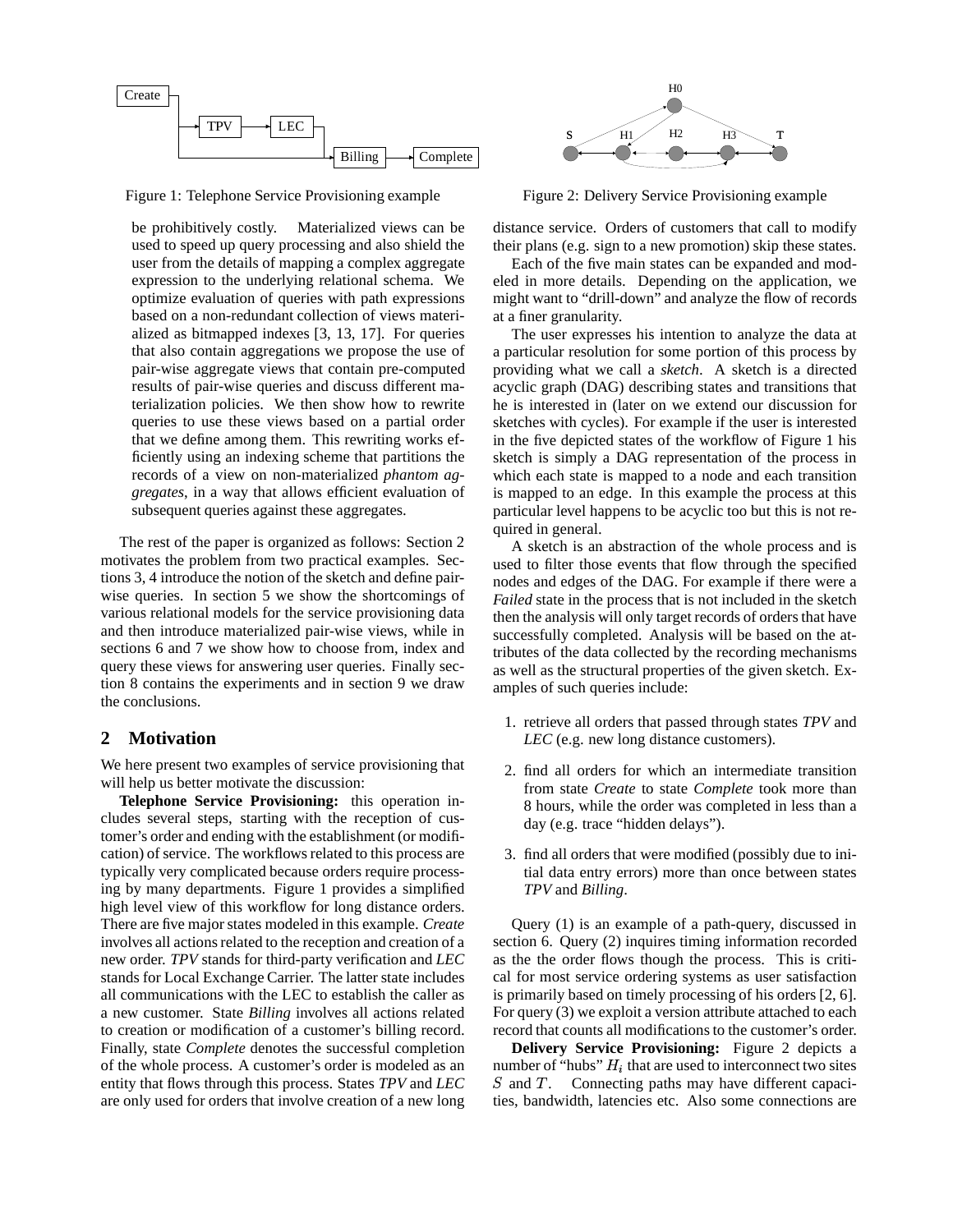

Figure 1: Telephone Service Provisioning example

be prohibitively costly. Materialized views can be used to speed up query processing and also shield the user from the details of mapping a complex aggregate expression to the underlying relational schema. We optimize evaluation of queries with path expressions based on a non-redundant collection of views materialized as bitmapped indexes [3, 13, 17]. For queries that also contain aggregations we propose the use of pair-wise aggregate views that contain pre-computed results of pair-wise queries and discuss different materialization policies. We then show how to rewrite queries to use these views based on a partial order that we define among them. This rewriting works efficiently using an indexing scheme that partitions the records of a view on non-materialized *phantom aggregates*, in a way that allows efficient evaluation of subsequent queries against these aggregates.

The rest of the paper is organized as follows: Section 2 motivates the problem from two practical examples. Sections 3, 4 introduce the notion of the sketch and define pairwise queries. In section 5 we show the shortcomings of various relational models for the service provisioning data and then introduce materialized pair-wise views, while in sections 6 and 7 we show how to choose from, index and query these views for answering user queries. Finally section 8 contains the experiments and in section 9 we draw the conclusions.

## **2 Motivation**

We here present two examples of service provisioning that will help us better motivate the discussion:

**Telephone Service Provisioning:** this operation includes several steps, starting with the reception of customer's order and ending with the establishment (or modification) of service. The workflowsrelated to this process are typically very complicated because orders require processing by many departments. Figure 1 provides a simplified high level view of this workflow for long distance orders. There are five major states modeled in this example. *Create* involves all actions related to the reception and creation of a new order. *TPV* stands for third-party verification and *LEC* stands for Local Exchange Carrier. The latter state includes all communications with the LEC to establish the caller as a new customer. State *Billing* involves all actions related to creation or modification of a customer's billing record. Finally, state *Complete* denotes the successful completion of the whole process. A customer's order is modeled as an entity that flows through this process. States *TPV* and *LEC* are only used for orders that involve creation of a new long



Figure 2: Delivery Service Provisioning example

distance service. Orders of customers that call to modify their plans (e.g. sign to a new promotion) skip these states.

Each of the five main states can be expanded and modeled in more details. Depending on the application, we might want to "drill-down" and analyze the flow of records at a finer granularity.

The user expresses his intention to analyze the data at a particular resolution for some portion of this process by providing what we call a *sketch*. A sketch is a directed acyclic graph (DAG) describing states and transitions that he is interested in (later on we extend our discussion for sketches with cycles). For example if the user is interested in the five depicted states of the workflow of Figure 1 his sketch is simply a DAG representation of the process in which each state is mapped to a node and each transition is mapped to an edge. In this example the process at this particular level happens to be acyclic too but this is not required in general.

A sketch is an abstraction of the whole process and is used to filter those events that flow through the specified nodes and edges of the DAG. For example if there were a *Failed* state in the process that is not included in the sketch then the analysis will only target records of orders that have successfully completed. Analysis will be based on the attributes of the data collected by the recording mechanisms as well as the structural properties of the given sketch. Examples of such queries include:

- 1. retrieve all orders that passed through states *TPV* and *LEC* (e.g. new long distance customers).
- 2. find all orders for which an intermediate transition from state *Create* to state *Complete* took more than 8 hours, while the order was completed in less than a day (e.g. trace "hidden delays").
- 3. find all orders that were modified (possibly due to initial data entry errors) more than once between states *TPV* and *Billing*.

Query (1) is an example of a path-query, discussed in section 6. Query (2) inquires timing information recorded as the the order flows though the process. This is critical for most service ordering systems as user satisfaction is primarily based on timely processing of his orders [2, 6]. For query (3) we exploit a version attribute attached to each record that counts all modifications to the customer's order.

**Delivery Service Provisioning:** Figure 2 depicts a number of "hubs"  $H_i$  that are used to interconnect two sites  $S$  and  $T$ . Connecting paths may have different capacities, bandwidth, latencies etc. Also some connections are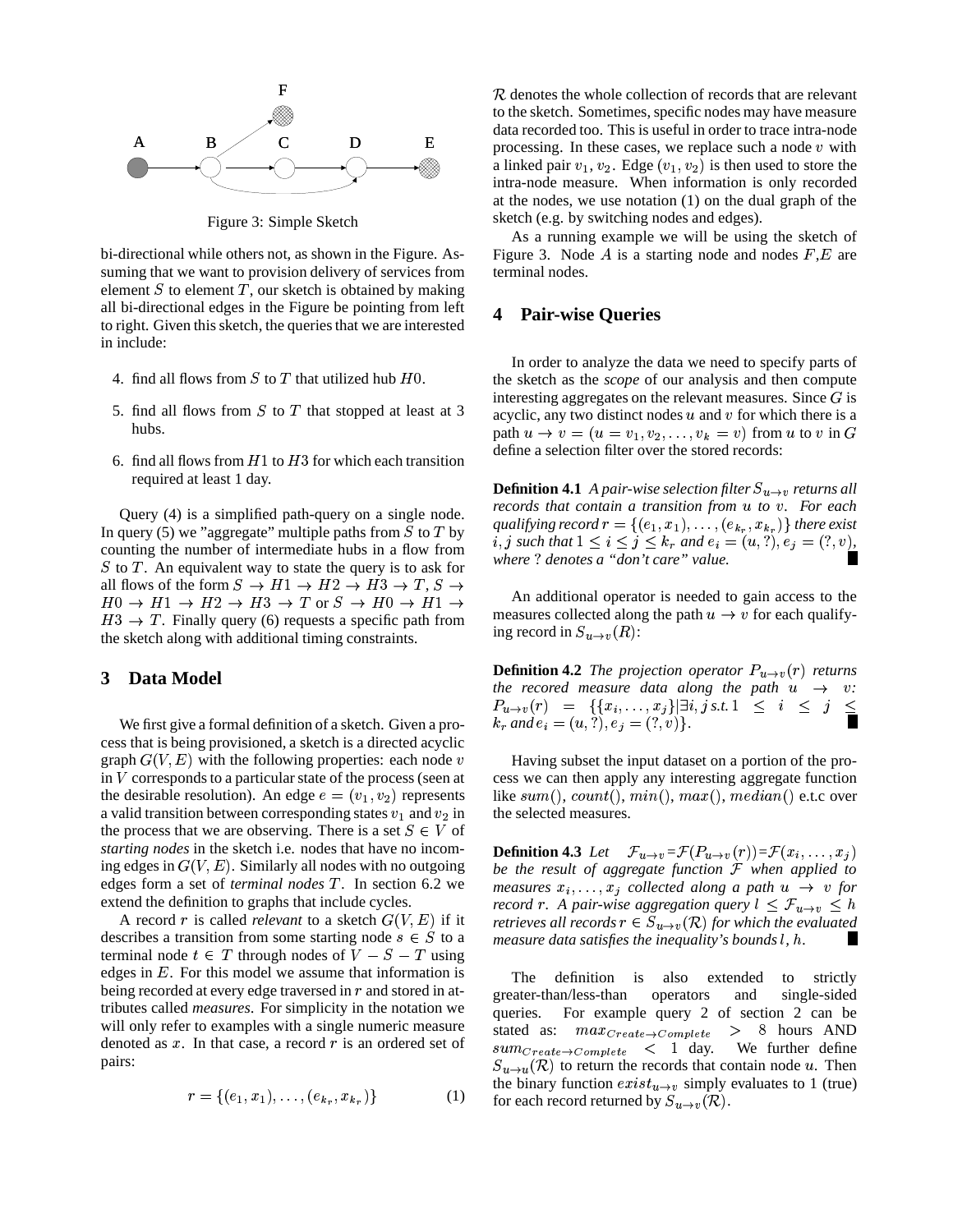

Figure 3: Simple Sketch

bi-directional while others not, as shown in the Figure. Assuming that we want to provision delivery of services from element  $S$  to element  $T$ , our sketch is obtained by making all bi-directional edges in the Figure be pointing from left to right. Given this sketch, the queries that we are interested in include:

- 4. find all flows from  $S$  to  $T$  that utilized hub  $H0$ .
- 5. find all flows from  $S$  to  $T$  that stopped at least at 3 hubs.
- 6. find all flows from  $H1$  to  $H3$  for which each transition required at least 1 day.

Query (4) is a simplified path-query on a single node. In query (5) we "aggregate" multiple paths from S to T by counting the number of intermediate hubs in a flow from S to  $T$ . An equivalent way to state the query is to ask for all flows of the form  $S \to H1 \to H2 \to H3 \to T, S \to$  $H0 \to H1 \to H2 \to H3 \to T$  or  $S \to H0 \to H1 \to$  And  $H3 \to T$ . Finally query (6) requests a specific path from the sketch along with additional timing constraints.

### **3 Data Model**

We first give a formal definition of a sketch. Given a process that is being provisioned, a sketch is a directed acyclic graph  $G(V, E)$  with the following properties: each node v in  $V$  corresponds to a particular state of the process (seen at the desirable resolution). An edge  $e = (v_1, v_2)$  represents a valid transition between corresponding states  $v_1$  and  $v_2$  in the process that we are observing. There is a set  $S \in V$  of *starting nodes* in the sketch i.e. nodes that have no incoming edges in  $G(V, E)$ . Similarly all nodes with no outgoing edges form a set of *terminal nodes* T. In section 6.2 we extend the definition to graphs that include cycles.

A record r is called *relevant* to a sketch  $G(V, E)$  if it describes a transition from some starting node  $s \in S$  to a terminal node  $t \in T$  through nodes of  $V - S - T$  using edges in  $E$ . For this model we assume that information is being recorded at every edge traversed in  $r$  and stored in attributes called *measures*. For simplicity in the notation we will only refer to examples with a single numeric measure denoted as  $x$ . In that case, a record  $r$  is an ordered set of pairs:

$$
r = \{(e_1, x_1), \dots, (e_{k_r}, x_{k_r})\} \tag{1}
$$

 $R$  denotes the whole collection of records that are relevant to the sketch. Sometimes, specific nodes may have measure data recorded too. This is useful in order to trace intra-node processing. In these cases, we replace such a node  $v$  with a linked pair  $v_1$ ,  $v_2$ . Edge  $(v_1, v_2)$  is then used to store the intra-node measure. When information is only recorded at the nodes, we use notation (1) on the dual graph of the sketch (e.g. by switching nodes and edges).

As a running example we will be using the sketch of Figure 3. Node  $A$  is a starting node and nodes  $F, E$  are terminal nodes.

### **4 Pair-wise Queries**

In order to analyze the data we need to specify parts of the sketch as the *scope* of our analysis and then compute interesting aggregates on the relevant measures. Since  $G$  is acyclic, any two distinct nodes  $u$  and  $v$  for which there is a path  $u \to v = (u = v_1, v_2, \dots, v_k = v)$  from u to v in G define a selection filter over the stored records:

**Definition 4.1** *A pair-wise selection filter*  $S_{u\to v}$  *returns all records that contain a transition from u to v. For each qualifying record*  $r = \{(e_1, x_1), \ldots, (e_{k_r}, x_{k_r})\}$  there exist *i*, *j* such that  $1 \le i \le j \le k_r$  and  $e_i = (u, ?), e_j = (?, v),$ *where* \ *denotes a "don't care" value.*

 $A_1 \rightarrow$  An additional operator is needed to gain access to the measures collected along the path  $u \to v$  for each qualifying record in  $S_{u\to v}(R)$ :

> **Definition 4.2** *The projection operator*  $P_{u\to v}(r)$  *returns the recored measure data along the path*  $u \rightarrow$ *:*  $\begin{array}{lclcl} P_{u \to v}(r) & = & \{ \{x_i, \ldots, x_j\} | \exists i,j \text{ s.t. } 1 \leq i \leq j \leq n \} \end{array}$  $k_r$  *and*  $e_i = (u, ?), e_j = (?, v)$ .

Having subset the input dataset on a portion of the process we can then apply any interesting aggregate function like  $sum(), count(), min(), max(), median()$  e.t.c over the selected measures.

**Definition 4.3** Let  $\mathcal{F}_{u \to v} = \mathcal{F}(P_{u \to v}(r)) = \mathcal{F}(x_i, \ldots, x_j)$ *be the result of aggregate function when applied to measures*  $x_i, \ldots, x_j$  collected along a path  $u \rightarrow v$  for *record*  $r$ *. A pair-wise aggregation query*  $l \leq \mathcal{F}_{u \to v} \leq h$ *retrieves all records*  $r \in S_{u \to v}(\mathcal{R})$  for which the evaluated *measure data satisfies the inequality's bounds l, h.* a ka

The definition is also extended to strictly greater-than/less-than operators and single-sided queries. For example query 2 of section 2 can be stated as:  $max_{Create \rightarrow Complete}$ > 8 hours AND  $sum_{Create \rightarrow Complete}$  < 1 day. We further define  $S_{u\to u}(\mathcal{R})$  to return the records that contain node u. Then the binary function  $exist_{u\to v}$  simply evaluates to 1 (true) for each record returned by  $S_{u\to v}(\mathcal{R})$ .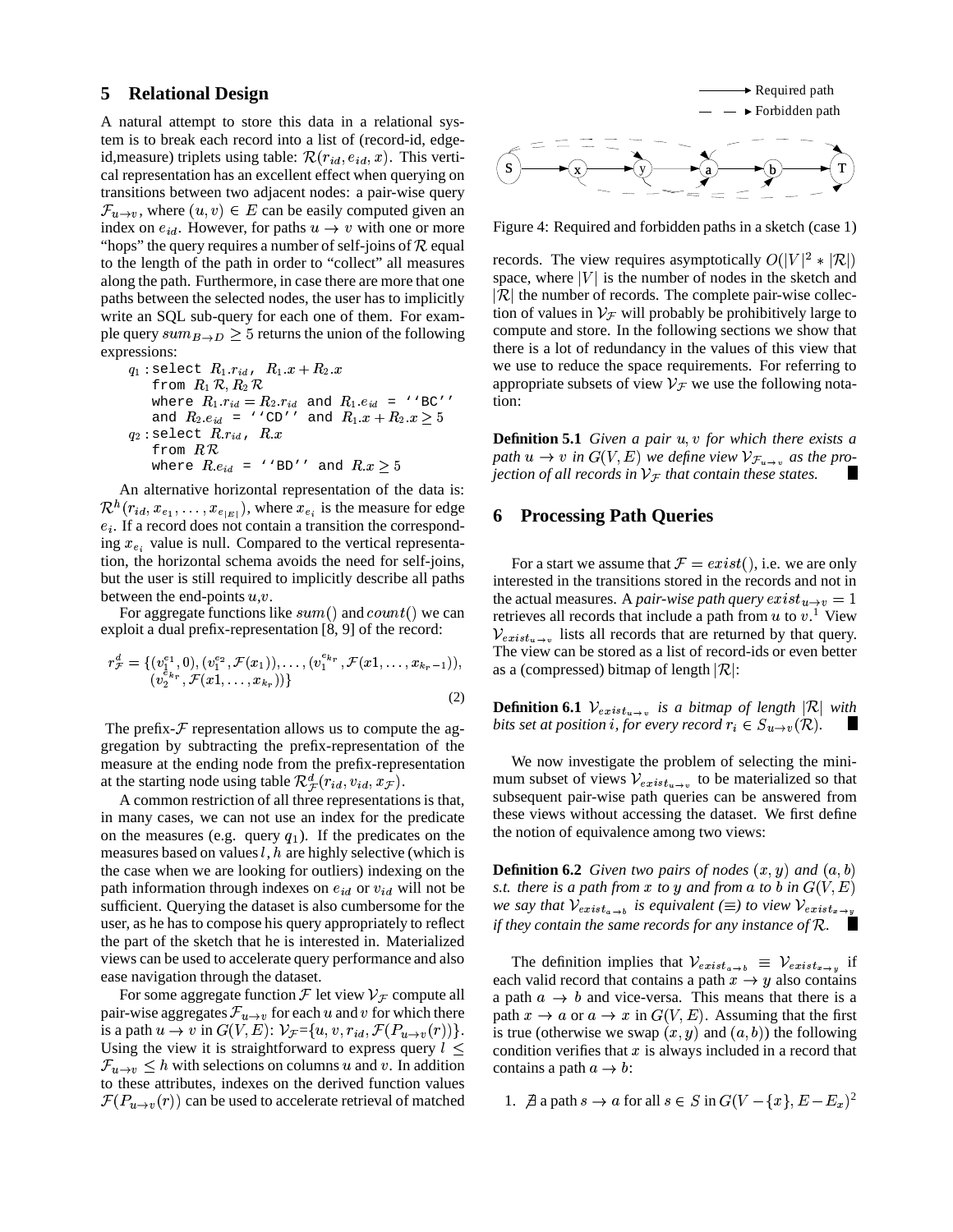### **5 Relational Design**

A natural attempt to store this data in a relational system is to break each record into a list of (record-id, edgeid, measure) triplets using table:  $\mathcal{R}(r_{id}, e_{id}, x)$ . This vertical representation has an excellent effect when querying on transitions between two adjacent nodes: a pair-wise query  $\mathcal{F}_{u \to v}$ , where  $(u, v) \in E$  can be easily computed given an index on  $e_{id}$ . However, for paths  $u \to v$  with one or more "hops" the query requires a number of self-joins of  $R$  equal to the length of the path in order to "collect" all measures along the path. Furthermore, in case there are more that one paths between the selected nodes, the user has to implicitly write an SQL sub-query for each one of them. For example query  $sum_{B\rightarrow D} \ge 5$  returns the union of the following expressions:

$$
q_1: \text{select } R_1.r_{id}, R_1.x + R_2.x
$$
\n
$$
\text{from } R_1 R, R_2 R
$$
\n
$$
\text{where } R_1.r_{id} = R_2.r_{id} \text{ and } R_1.e_{id} = \text{``BC''}
$$
\n
$$
\text{and } R_2.e_{id} = \text{``CD''} \text{ and } R_1.x + R_2.x \geq 5
$$
\n
$$
q_2: \text{select } R.r_{id}, R.x
$$
\n
$$
\text{from } R \mathcal{R}
$$
\n
$$
\text{where } R.e_{id} = \text{``BD''} \text{ and } R.x \geq 5
$$

An alternative horizontal representation of the data is:  $\mathcal{R}^{h}(r_{id}, x_{e_1}, \ldots, x_{e_{1E1}})$ , where  $x_{e_i}$  is the measure for edge  $e_i$ . If a record does not contain a transition the corresponding  $x_e$ , value is null. Compared to the vertical representation, the horizontal schema avoids the need for self-joins, but the user is still required to implicitly describe all paths between the end-points  $u.v$ .

For aggregate functions like  $sum()$  and  $count()$  we can exploit a dual prefix-representation [8, 9] of the record:

$$
r_{\mathcal{F}}^{d} = \{ (v_{1}^{e_{1}}, 0), (v_{1}^{e_{2}}, \mathcal{F}(x_{1})), \ldots, (v_{1}^{e_{k_{r}}}, \mathcal{F}(x_{1}, \ldots, x_{k_{r}-1})), \newline (v_{2}^{e_{k_{r}}}, \mathcal{F}(x_{1}, \ldots, x_{k_{r}})) \}
$$
\n
$$
(2)
$$

The prefix- $F$  representation allows us to compute the aggregation by subtracting the prefix-representation of the measure at the ending node from the prefix-representation at the starting node using table  $\mathcal{R}_{\mathcal{F}}^{d}(r_{id}, v_{id}, x_{\mathcal{F}})$ .

A common restriction of all three representations is that, in many cases, we can not use an index for the predicate on the measures (e.g. query  $q_1$ ). If the predicates on the measures based on values  $l, h$  are highly selective (which is the case when we are looking for outliers) indexing on the path information through indexes on  $e_{id}$  or  $v_{id}$  will not be sufficient. Querying the dataset is also cumbersome for the user, as he has to compose his query appropriately to reflect the part of the sketch that he is interested in. Materialized views can be used to accelerate query performance and also ease navigation through the dataset.

For some aggregate function  $\mathcal F$  let view  $\mathcal V_{\mathcal F}$  compute all pair-wise aggregates  $\mathcal{F}_{u\to v}$  for each u and v for which there is a path  $u \to v$  in  $G(V, E)$ :  $\mathcal{V}_{\mathcal{F}} = \{u, v, r_{id}, \mathcal{F}(P_{u \to v}(r))\}$ . is Using the view it is straightforward to express query  $l \leq$  $\mathcal{F}_{u\to v} \leq h$  with selections on columns u and v. In addition to these attributes, indexes on the derived function values  $\mathcal{F}(P_{u\to v}(r))$  can be used to accelerate retrieval of matched



Figure 4: Required and forbidden paths in a sketch (case 1)

records. The view requires asymptotically  $O(|V|^2 * |R|)$ space, where  $|V|$  is the number of nodes in the sketch and  $|R|$  the number of records. The complete pair-wise collection of values in  $V_{\mathcal{F}}$  will probably be prohibitively large to compute and store. In the following sections we show that there is a lot of redundancy in the values of this view that we use to reduce the space requirements. For referring to appropriate subsets of view  $\mathcal{V}_{\mathcal{F}}$  we use the following notation:

**Definition 5.1** Given a pair  $u, v$  for which there exists a path  $u \to v$  in  $G(V, E)$  we define view  $\mathcal{V}_{\mathcal{F}_{u \to v}}$  as the pro*jection of all records in*  $V_{\mathcal{F}}$  *that contain these states.* 

#### **6 Processing Path Queries**

For a start we assume that  $\mathcal{F} = exist(),$  i.e. we are only interested in the transitions stored in the records and not in the actual measures. A *pair-wise path query*  $exist_{u\rightarrow v} = 1$ retrieves all records that include a path from  $u$  to  $v<sup>1</sup>$ . View  $V_{exist_{n-1}}$  lists all records that are returned by that query. The view can be stored as a list of record-ids or even better as a (compressed) bitmap of length  $|R|$ :

**Definition 6.1**  $V_{exist_{u\rightarrow v}}$  *is a bitmap of length*  $|\mathcal{R}|$  *with bits set at position i, for every record*  $r_i \in S_{u \to v}(\mathcal{R})$ .

We now investigate the problem of selecting the minimum subset of views  $V_{exist_{u \to v}}$  to be materialized so that subsequent pair-wise path queries can be answered from these views without accessing the dataset. We first define the notion of equivalence among two views:

**Definition 6.2** *Given two pairs of nodes*  $(x, y)$  *and*  $(a, b)$ *s.t. there is a path from*  $x$  *to*  $y$  *and from*  $a$  *to*  $b$  *in*  $G(V, E)$ *we* say that  $V_{exist_{a\rightarrow b}}$  is equivalent ( $\equiv$ ) to view  $V_{exists_{x\rightarrow y}}$ *if they contain the same records for any instance of*  $\mathcal{R}$ .

The definition implies that  $V_{exist_{a\rightarrow b}} \equiv V_{exists_{x\rightarrow y}}$  if each valid record that contains a path  $x \to y$  also contains a path  $a \rightarrow b$  and vice-versa. This means that there is a path  $x \to a$  or  $a \to x$  in  $G(V, E)$ . Assuming that the first is true (otherwise we swap  $(x, y)$  and  $(a, b)$ ) the following condition verifies that  $x$  is always included in a record that contains a path  $a \to b$ :

1.  $\cancel{A}$  a path  $s \to a$  for all  $s \in S$  in  $G(V - \{x\}, E - E_x)^2$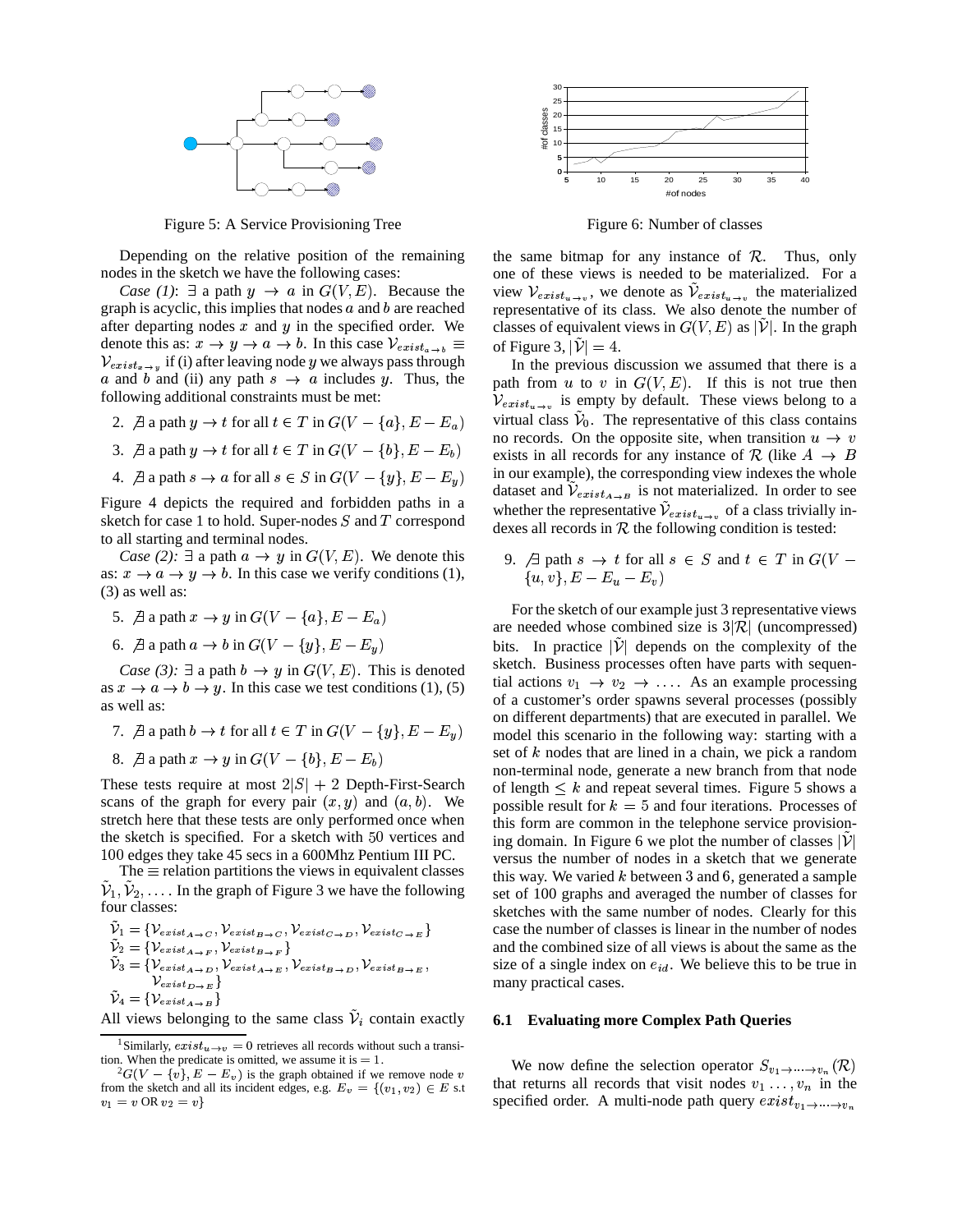

Figure 5: A Service Provisioning Tree

Depending on the relative position of the remaining nodes in the sketch we have the following cases:

*Case (1)*:  $\exists$  a path  $y \to a$  in  $G(V, E)$ . Because the graph is acyclic, this implies that nodes  $a$  and  $b$  are reached after departing nodes  $x$  and  $y$  in the specified order. We denote this as:  $x \to y \to a \to b$ . In this case  $V_{exist_{a\to b}} \equiv$  $V_{exist_{x\rightarrow y}}$  if (i) after leaving node y we always pass through a and b and (ii) any path  $s \rightarrow a$  includes y. Thus, the following additional constraints must be met:

- 2. A a path  $y \to t$  for all  $t \in T$  in  $G(V \{a\}, E E_a)$
- 3. A a path  $y \to t$  for all  $t \in T$  in  $G(V \{b\}, E E_b)$
- 4.  $\Box$  a path  $s \rightarrow a$  for all  $s \in S$  in  $G(V \{y\}, E E_u)$

Figure 4 depicts the required and forbidden paths in a sketch for case 1 to hold. Super-nodes  $S$  and  $T$  correspond to all starting and terminal nodes.

*Case* (2):  $\exists$  a path  $a \rightarrow y$  in  $G(V, E)$ . We denote this as:  $x \to a \to y \to b$ . In this case we verify conditions (1),  $(3)$  as well as:

- 5.  $\Box$  a path  $x \rightarrow y$  in  $G(V \{a\}, E E_a)$
- 6.  $\Box$  a path  $a \rightarrow b$  in  $G(V \{y\}, E E_u)$

*Case* (3):  $\exists$  a path  $b \rightarrow y$  in  $G(V, E)$ . This is denoted as  $x \to a \to b \to y$ . In this case we test conditions (1), (5) as well as:

7. A a path  $b \to t$  for all  $t \in T$  in  $G(V - \{y\}, E - E_y)$ 

8.  $\Box$  a path  $x \rightarrow y$  in  $G(V - \{b\}, E - E_b)$ 

These tests require at most  $2|S| + 2$  Depth-First-Search scans of the graph for every pair  $(x, y)$  and  $(a, b)$ . We stretch here that these tests are only performed once when the sketch is specified. For a sketch with 50 vertices and 100 edges they take 45 secs in a 600Mhz Pentium III PC.

The  $\equiv$  relation partitions the views in equivalent classes  $V_1, V_2, \ldots$  In the graph of Figure 3 we have the following four classes:

 $\mathcal{V}_1 = \{ \mathcal{V}_{exist_{A\rightarrow C}}, \mathcal{V}_{exist_{B\rightarrow C}}, \mathcal{V}_{exist_{C\rightarrow D}}, \mathcal{V}_{exist_{C\rightarrow E}} \}$  $\mathcal{V}_2 = \{\mathcal{V}_{exist_{A\rightarrow F}}, \mathcal{V}_{exist_{B\rightarrow F}}\}$  $\tilde{\mathcal{V}}_3 = \{\mathcal{V}_{exist_{A\rightarrow D}}, \mathcal{V}_{exist_{A\rightarrow E}}, \mathcal{V}_{exist_{B\rightarrow D}}, \mathcal{V}_{exist_{B\rightarrow E}},$  $\mathcal{V}_{exist_{D\rightarrow E}}\}$  $\tilde{\mathcal{V}}_4 = \{\mathcal{V}_{exist_{A\rightarrow B}}\}$ 

All views belonging to the same class  $V_i$  contain exactly



Figure 6: Number of classes

the same bitmap for any instance of  $\mathcal{R}$ . Thus, only one of these views is needed to be materialized. For a view  $V_{exist_{u\rightarrow v}}$ , we denote as  $V_{exist_{u\rightarrow v}}$  the materialized representative of its class. We also denote the number of classes of equivalent views in  $G(V, E)$  as |V|. In the graph of Figure 3,  $|\mathcal{V}| = 4$ .

In the previous discussion we assumed that there is a path from u to v in  $G(V, E)$ . If this is not true then  $V_{exist_{u\rightarrow v}}$  is empty by default. These views belong to a virtual class  $V_0$ . The representative of this class contains no records. On the opposite site, when transition  $u \rightarrow v$ exists in all records for any instance of  $R$  (like  $A \rightarrow B$ in our example), the corresponding view indexes the whole dataset and  $V_{exist_{A\rightarrow B}}$  is not materialized. In order to see whether the representative  $\tilde{\mathcal{V}}_{exist_{u\rightarrow v}}$  of a class trivially indexes all records in  $R$  the following condition is tested:

9.  $\varphi$  path  $s \to t$  for all  $s \in S$  and  $t \in T$  in  $G(V \{u, v\}, E - E_u - E_v$ 

For the sketch of our example just 3 representative views are needed whose combined size is  $3|\mathcal{R}|$  (uncompressed) bits. In practice  $|V|$  depends on the complexity of the sketch. Business processes often have parts with sequential actions  $v_1 \rightarrow v_2 \rightarrow \ldots$  As an example processing of a customer's order spawns several processes (possibly on different departments) that are executed in parallel. We model this scenario in the following way: starting with a set of  $k$  nodes that are lined in a chain, we pick a random non-terminal node, generate a new branch from that node of length  $\leq k$  and repeat several times. Figure 5 shows a possible result for  $k = 5$  and four iterations. Processes of this form are common in the telephone service provisioning domain. In Figure 6 we plot the number of classes  $|V|$ versus the number of nodes in a sketch that we generate this way. We varied  $k$  between 3 and 6, generated a sample set of 100 graphs and averaged the number of classes for sketches with the same number of nodes. Clearly for this case the number of classes is linear in the number of nodes and the combined size of all views is about the same as the size of a single index on  $e_{id}$ . We believe this to be true in many practical cases.

#### **6.1 Evaluating more Complex Path Queries**

We now define the selection operator  $S_{v_1 \to \cdots \to v_n}(\mathcal{R})$ that returns all records that visit nodes  $v_1 \ldots, v_n$  in the specified order. A multi-node path query  $exist_{v_1} \rightarrow \cdots \rightarrow v_n$ 

<sup>&</sup>lt;sup>1</sup>Similarly,  $exist_{u\to v} = 0$  retrieves all records without such a transition. When the predicate is omitted, we assume it is  $= 1$ .

 ${}^{2}G(V - \{v\}, E - E_{v})$  is the graph obtained if we remove node v from the sketch and all its incident edges, e.g.  $E_v = \{(v_1, v_2) \in E \text{ s.t.}\}$  $v_1 = v \text{ OR } v_2 = v$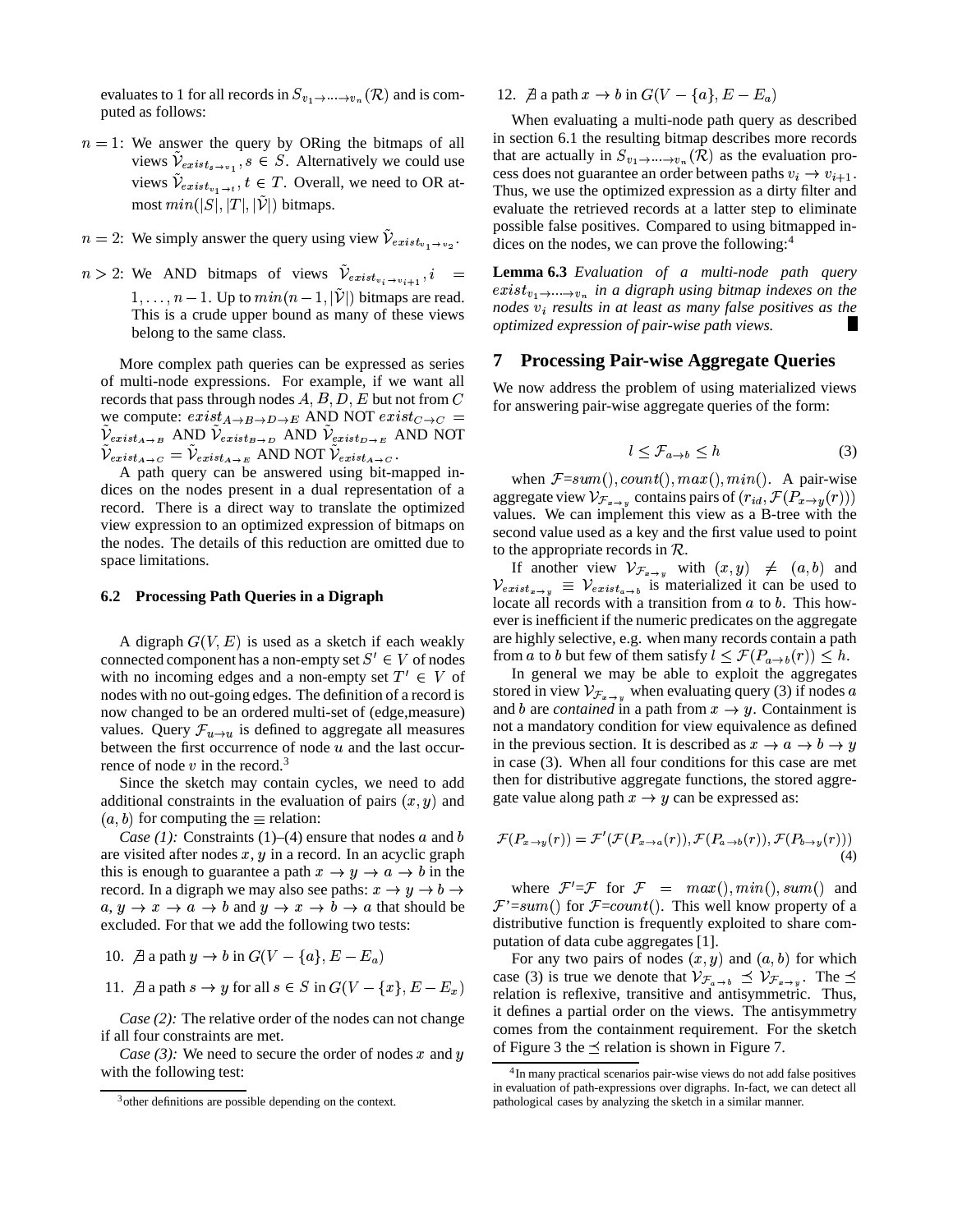evaluates to 1 for all records in  $S_{v_1 \to \cdots \to v_n}(\mathcal{R})$  and is computed as follows:

- $n = 1$ : We answer the query by ORing the bitmaps of all views  $\hat{V}_{exist_{s\rightarrow v_1}}$ ,  $s \in S$ . Alternatively we could use views  $\tilde{\mathcal{V}}_{exist_{v_1 \rightarrow t}}, t \in T$ . Overall, we need to OR atmost  $\min(|S|,|T|,|\tilde{\mathcal{V}}|)$  bitmaps.
- $n = 2$ : We simply answer the query using view  $\tilde{\mathcal{V}}_{exist_{v_1 \to v_2}}$ .
- $n > 2$ : We AND bitmaps of views  $\tilde{\mathcal{V}}_{exist_{v_i \rightarrow v_{i+1}}}, i =$  $1, \ldots, n-1$ . Up to  $min(n-1, |\mathcal{V}|)$  bitmaps are read. This is a crude upper bound as many of these views belong to the same class.

More complex path queries can be expressed as series of multi-node expressions. For example, if we want all records that pass through nodes  $A, B, D, E$  but not from C we compute:  $exist_{A\rightarrow B\rightarrow D\rightarrow E}$  AND NOT  $exist_{C\rightarrow C}$  =  $\mathcal{V}_{exist_{A\rightarrow B}}$  AND  $\mathcal{V}_{exist_{B\rightarrow D}}$  AND  $\mathcal{V}_{exist_{D\rightarrow E}}$  AND NOT  $\mathcal{V}_{exist_{A\rightarrow C}} = \mathcal{V}_{exist_{A\rightarrow E}}$  AND NOT  $\mathcal{V}_{exist_{A\rightarrow C}}$ .

A path query can be answered using bit-mapped indices on the nodes present in a dual representation of a record. There is a direct way to translate the optimized view expression to an optimized expression of bitmaps on the nodes. The details of this reduction are omitted due to space limitations.

#### 6.2 Processing Path Queries in a Digraph

A digraph  $G(V, E)$  is used as a sketch if each weakly connected component has a non-empty set  $S' \in V$  of nodes with no incoming edges and a non-empty set  $T' \in V$  of nodes with no out-going edges. The definition of a record is now changed to be an ordered multi-set of (edge, measure) values. Query  $\mathcal{F}_{u\to u}$  is defined to aggregate all measures between the first occurrence of node  $u$  and the last occurrence of node v in the record.<sup>3</sup>

Since the sketch may contain cycles, we need to add additional constraints in the evaluation of pairs  $(x, y)$  and  $(a, b)$  for computing the  $\equiv$  relation:

*Case (1):* Constraints (1)–(4) ensure that nodes a and b are visited after nodes  $x, y$  in a record. In an acyclic graph this is enough to guarantee a path  $x \to y \to a \to b$  in the record. In a digraph we may also see paths:  $x \to y \to b \to$  $a, y \rightarrow x \rightarrow a \rightarrow b$  and  $y \rightarrow x \rightarrow b \rightarrow a$  that should be excluded. For that we add the following two tests:

10.  $\overline{A}$  a path  $y \to b$  in  $G(V - \{a\}, E - E_a)$ 

11.  $\overline{A}$  a path  $s \to y$  for all  $s \in S$  in  $G(V - \{x\}, E - E_x)$ 

Case (2): The relative order of the nodes can not change if all four constraints are met.

*Case (3):* We need to secure the order of nodes x and y with the following test:

12.  $\bar{A}$  a path  $x \to b$  in  $G(V - \{a\}, E - E_a)$ 

When evaluating a multi-node path query as described in section 6.1 the resulting bitmap describes more records that are actually in  $S_{v_1 \to \cdots \to v_n}(\mathcal{R})$  as the evaluation process does not guarantee an order between paths  $v_i \rightarrow v_{i+1}$ . Thus, we use the optimized expression as a dirty filter and evaluate the retrieved records at a latter step to eliminate possible false positives. Compared to using bitmapped indices on the nodes, we can prove the following: $4$ 

Lemma 6.3 Evaluation of a multi-node path query  $exist_{v_1 \rightarrow \cdots \rightarrow v_n}$  in a digraph using bitmap indexes on the nodes  $v_i$  results in at least as many false positives as the optimized expression of pair-wise path views.

#### 7 **Processing Pair-wise Aggregate Queries**

We now address the problem of using materialized views for answering pair-wise aggregate queries of the form:

$$
l \leq \mathcal{F}_{a \to b} \leq h \tag{3}
$$

when  $\mathcal{F}=sum(),count(),max(),min(.)$ . A pair-wise aggregate view  $\mathcal{V}_{\mathcal{F}_{n\to y}}$  contains pairs of  $(r_{id}, \mathcal{F}(P_{x\to y}(r)))$ values. We can implement this view as a B-tree with the second value used as a key and the first value used to point to the appropriate records in  $R$ .

If another view  $\mathcal{V}_{\mathcal{F}_{x\to y}}$  with  $(x, y) \neq (a, b)$  and  $\mathcal{V}_{exists_{x\to y}} \equiv \mathcal{V}_{exists_{a\to b}}$  is materialized it can be used to locate all records with a transition from  $a$  to  $b$ . This however is inefficient if the numeric predicates on the aggregate are highly selective, e.g. when many records contain a path from a to b but few of them satisfy  $l \leq \mathcal{F}(P_{a\to b}(r)) \leq h$ .

In general we may be able to exploit the aggregates stored in view  $\mathcal{V}_{\mathcal{F}_{x\to y}}$  when evaluating query (3) if nodes a and b are *contained* in a path from  $x \rightarrow y$ . Containment is not a mandatory condition for view equivalence as defined in the previous section. It is described as  $x \to a \to b \to y$ in case (3). When all four conditions for this case are met then for distributive aggregate functions, the stored aggregate value along path  $x \rightarrow y$  can be expressed as:

$$
\mathcal{F}(P_{x\to y}(r)) = \mathcal{F}'(\mathcal{F}(P_{x\to a}(r)), \mathcal{F}(P_{a\to b}(r)), \mathcal{F}(P_{b\to y}(r)))
$$
\n(4)

where  $\mathcal{F}' = \mathcal{F}$  for  $\mathcal{F} = max(1, min(1, sum))$  and  $\mathcal{F}$ '=sum() for  $\mathcal{F}=count($ ). This well know property of a distributive function is frequently exploited to share computation of data cube aggregates [1].

For any two pairs of nodes  $(x, y)$  and  $(a, b)$  for which case (3) is true we denote that  $\mathcal{V}_{\mathcal{F}_{a\to b}} \preceq \mathcal{V}_{\mathcal{F}_{x\to y}}$ . The  $\preceq$ relation is reflexive, transitive and antisymmetric. Thus, it defines a partial order on the views. The antisymmetry comes from the containment requirement. For the sketch of Figure 3 the  $\prec$  relation is shown in Figure 7.

<sup>&</sup>lt;sup>3</sup> other definitions are possible depending on the context.

<sup>&</sup>lt;sup>4</sup>In many practical scenarios pair-wise views do not add false positives in evaluation of path-expressions over digraphs. In-fact, we can detect all pathological cases by analyzing the sketch in a similar manner.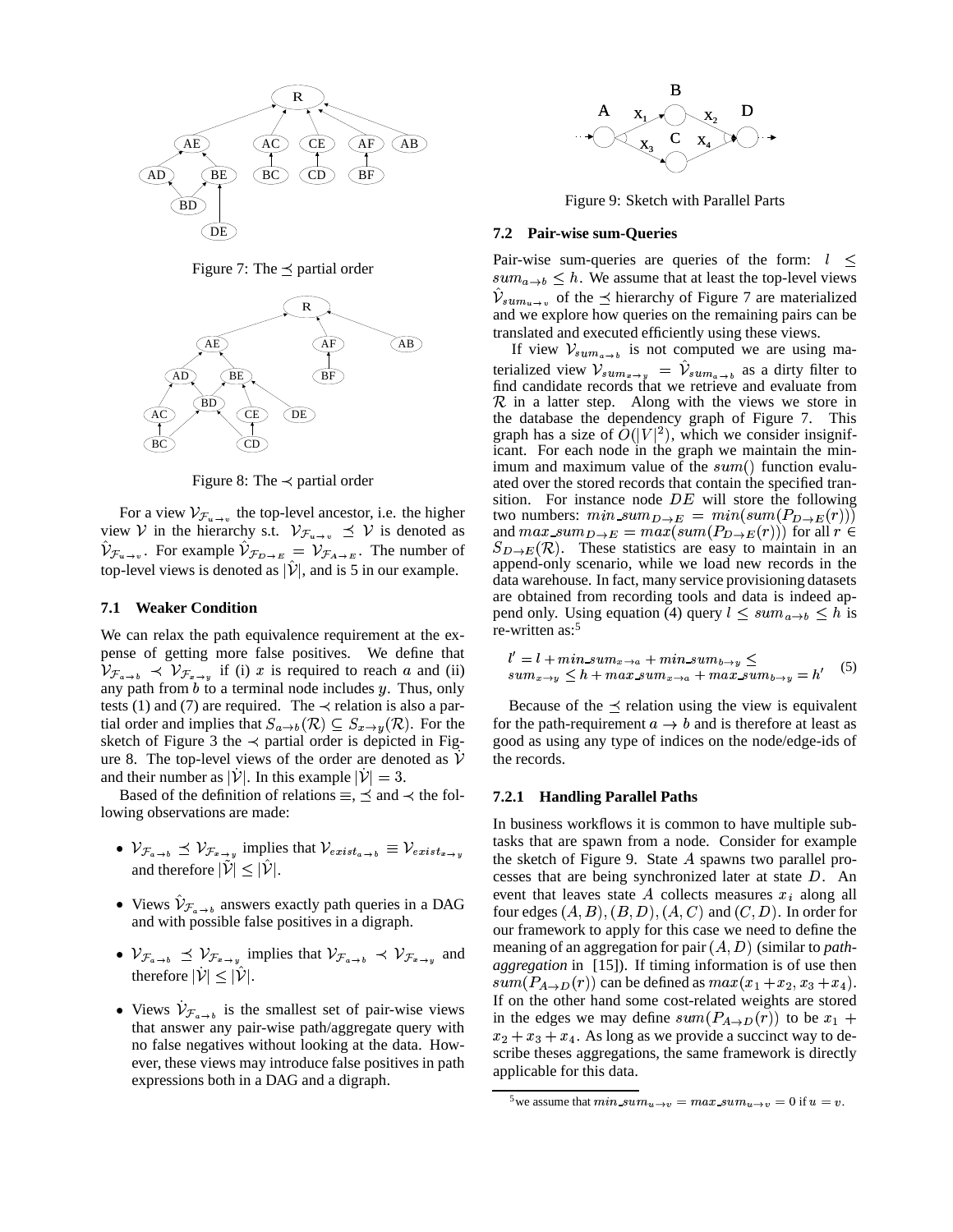

Figure 7: The  $\preceq$  partial order



Figure 8: The  $\prec$  partial order

For a view  $V_{\mathcal{F}_{n\to n}}$  the top-level ancestor, i.e. the higher view V in the hierarchy s.t.  $V_{\mathcal{F}_{u\to v}} \preceq V$  is denoted as  $\hat{\mathcal{V}}_{\mathcal{F}_{u\to v}}$ . For example  $\hat{\mathcal{V}}_{\mathcal{F}_{D\to E}} = \hat{\mathcal{V}}_{\mathcal{F}_{A\to E}}$ . The number of top-level views is denoted as  $|\hat{V}|$ , and is 5 in our example.

### **7.1 Weaker Condition**

We can relax the path equivalence requirement at the expense of getting more false positives. We define that  $\mathcal{V}_{\mathcal{F}_{a\to b}} \prec \mathcal{V}_{\mathcal{F}_{a\to u}}$  if (i) x is required to reach a and (ii) any path from  $b$  to a terminal node includes  $y$ . Thus, only tests (1) and (7) are required. The  $\prec$  relation is also a partial order and implies that  $S_{a\to b}(\mathcal{R}) \subseteq S_{x\to y}(\mathcal{R})$ . For the for t sketch of Figure 3 the  $\prec$  partial order is depicted in Figure 8. The top-level views of the order are denoted as  $V$ and their number as  $|\mathcal{V}|$ . In this example  $|\mathcal{V}|=3$ .

Based of the definition of relations  $\equiv$ ,  $\preceq$  and  $\prec$  the following observations are made:

- $\mathcal{V}_{\mathcal{F}_{a\to b}} \preceq \mathcal{V}_{\mathcal{F}_{x\to y}}$  implies that  $\mathcal{V}_{exist_{a\to b}} \equiv \mathcal{V}_{exist_{a\to y}}$ and therefore  $|\tilde{V}| \leq |\tilde{V}|$ .
- Views  $\hat{\mathcal{V}}_{\mathcal{F}_{a\rightarrow b}}$  answers exactly path queries in a DAG and with possible false positives in a digraph.
- $\mathcal{V}_{\mathcal{F}_{a\to b}} \preceq \mathcal{V}_{\mathcal{F}_{a\to y}}$  implies that  $\mathcal{V}_{\mathcal{F}_{a\to b}} \prec \mathcal{V}_{\mathcal{F}_{a\to y}}$  and therefore  $|\dot{\mathcal{V}}| \leq |\hat{\mathcal{V}}|$ .
- Views  $V_{\mathcal{F}_{a\to b}}$  is the smallest set of pair-wise views that answer any pair-wise path/aggregate query with no false negatives without looking at the data. However, these views may introduce false positives in path expressions both in a DAG and a digraph.



Figure 9: Sketch with Parallel Parts

#### **7.2 Pair-wise sum-Queries**

Pair-wise sum-queries are queries of the form:  $l \leq$  $sum_{a \to b} \leq h$ . We assume that at least the top-level views  $\hat{V}_{sum_{u \to v}}$  of the  $\preceq$  hierarchy of Figure 7 are materialized and we explore how queries on the remaining pairs can be translated and executed efficiently using these views.

If view  $V_{sum_{a\rightarrow b}}$  is not computed we are using materialized view  $V_{sum_{x\rightarrow y}} = \hat{V}_{sum_{x\rightarrow b}}$  as a dirty filter to find candidate records that we retrieve and evaluate from  $\mathcal R$  in a latter step. Along with the views we store in the database the dependency graph of Figure 7. This graph has a size of  $O(|V|^2)$ , which we consider insignificant. For each node in the graph we maintain the minimum and maximum value of the  $sum()$  function evaluated over the stored records that contain the specified transition. For instance node  $DE$  will store the following two numbers:  $min\_sum_{D\rightarrow E} = min(sum(P_{D\rightarrow E}(r)))$ and  $max\_sum_{D\rightarrow E} = max(sum(P_{D\rightarrow E}(r)))$  for all  $r \in$  $S_{D\to E}(\mathcal{R})$ . These statistics are easy to maintain in an append-only scenario, while we load new records in the data warehouse. In fact, many service provisioning datasets are obtained from recording tools and data is indeed append only. Using equation (4) query  $l \leq sum_{a \to b} \leq h$  is re-written as:<sup>5</sup>

$$
l' = l + min\_sum_{x \to a} + min\_sum_{b \to y} \le
$$
  

$$
sum_{x \to y} \le h + max\_sum_{x \to a} + max\_sum_{b \to y} = h'
$$
 (5)

Because of the  $\preceq$  relation using the view is equivalent for the path-requirement  $a \to b$  and is therefore at least as good as using any type of indices on the node/edge-ids of the records.

#### **7.2.1 Handling Parallel Paths**

In business workflows it is common to have multiple subtasks that are spawn from a node. Consider for example the sketch of Figure 9. State  $\vec{A}$  spawns two parallel processes that are being synchronized later at state  $D$ . An event that leaves state A collects measures  $x_i$  along all four edges  $(A, B), (B, D), (A, C)$  and  $(C, D)$ . In order for our framework to apply for this case we need to define the meaning of an aggregation for pair  $(A, D)$  (similar to *pathaggregation* in [15]). If timing information is of use then  $sum(P_{A\rightarrow D}(r))$  can be defined as  $max(x_1 + x_2, x_3 + x_4)$ . If on the other hand some cost-related weights are stored in the edges we may define  $sum(P_{A\rightarrow D}(r))$  to be  $x_1$  +  $x_2 + x_3 + x_4$ . As long as we provide a succinct way to describe theses aggregations, the same framework is directly applicable for this data.

<sup>&</sup>lt;sup>5</sup> we assume that  $min\_sum_{u \to v} = max\_sum_{u \to v} = 0$  if  $u = v$ .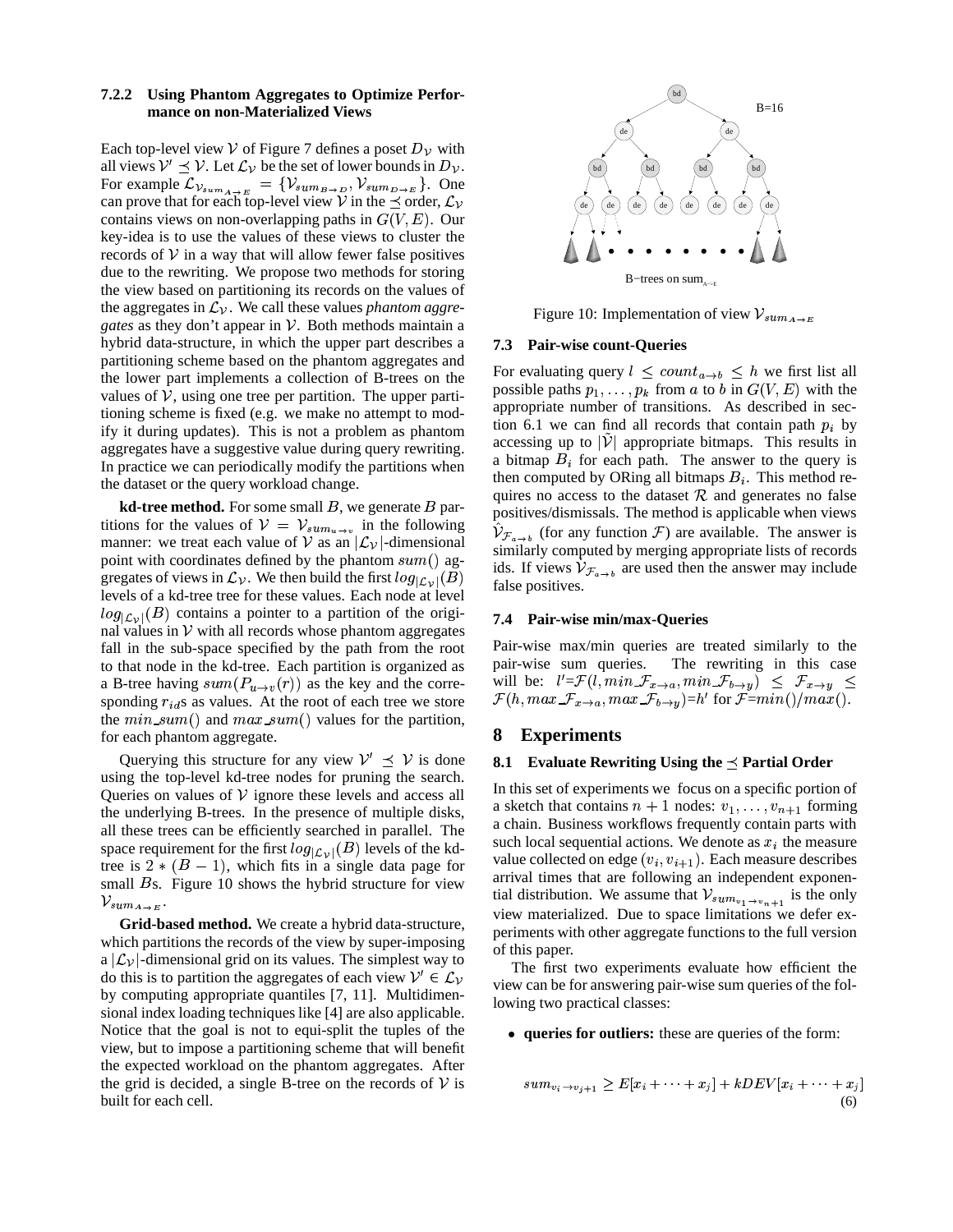### **7.2.2 Using Phantom Aggregates to Optimize Performance on non-Materialized Views**

Each top-level view V of Figure 7 defines a poset  $D<sub>V</sub>$  with all views  $V' \leq V$ . Let  $\mathcal{L}_V$  be the set of lower bounds in  $D_V$ . For example  $\mathcal{L}_{\mathcal{V}_{sum}} = \{V_{sum_{B \rightarrow D}} , V_{sum_{C \rightarrow E}}\}$ . One can prove that for each top-level view V in the  $\preceq$  order,  $\mathcal{L}_\mathcal{V}$ contains views on non-overlapping paths in  $G(V, E)$ . Our key-idea is to use the values of these views to cluster the records of  $V$  in a way that will allow fewer false positives due to the rewriting. We propose two methods for storing the view based on partitioning its records on the values of the aggregates in  $\mathcal{L}_V$ . We call these values *phantom aggregates* as they don't appear in  $V$ . Both methods maintain a hybrid data-structure, in which the upper part describes a partitioning scheme based on the phantom aggregates and the lower part implements a collection of B-trees on the values of  $V$ , using one tree per partition. The upper partitioning scheme is fixed (e.g. we make no attempt to modify it during updates). This is not a problem as phantom aggregates have a suggestive value during query rewriting. In practice we can periodically modify the partitions when the dataset or the query workload change.

**kd-tree method.** For some small B, we generate B par- $\frac{1}{100}$ titions for the values of  $V = V_{sum_{u \to v}}$  in the following manner: we treat each value of V as an  $|\mathcal{L}_{\mathcal{V}}|$ -dimensional point with coordinates defined by the phantom  $sum()$  aggregates of views in  $\mathcal{L}_v$ . We then build the first  $log_{|\mathcal{L}_v|}(B)$  . For each  $\mathcal{L}_v$ levels of a kd-tree tree for these values. Each node at level  $log_{|\mathcal{L}_V|}(B)$  contains a pointer to a partition of the original values in  $V$  with all records whose phantom aggregates fall in the sub-space specified by the path from the root to that node in the kd-tree. Each partition is organized as a B-tree having  $sum(P_{u\to v}(r))$  as the key and the corresponding  $r_{id}$ s as values. At the root of each tree we store the  $min\_sum()$  and  $max\_sum()$  values for the partition, for each phantom aggregate.

Querying this structure for any view  $V' \preceq V$  is done 8 using the top-level kd-tree nodes for pruning the search. Queries on values of  $V$  ignore these levels and access all the underlying B-trees. In the presence of multiple disks, all these trees can be efficiently searched in parallel. The space requirement for the first  $log_{|\mathcal{L}_V|}(B)$  levels of the kdtree is  $2 * (B - 1)$ , which fits in a single data page for small  $B$ s. Figure 10 shows the hybrid structure for view  $\mathcal{V}_{sum_{A\rightarrow E}}$  .

**Grid-based method.** We create a hybrid data-structure, which partitions the records of the view by super-imposing a  $|\mathcal{L}_V|$ -dimensional grid on its values. The simplest way to do this is to partition the aggregates of each view  $V' \in \mathcal{L}_V$ by computing appropriate quantiles [7, 11]. Multidimensional index loading techniques like [4] are also applicable. Notice that the goal is not to equi-split the tuples of the view, but to impose a partitioning scheme that will benefit the expected workload on the phantom aggregates. After the grid is decided, a single B-tree on the records of  $V$  is built for each cell.



Figure 10: Implementation of view  $V_{sum_{A\rightarrow E}}$ 

#### **7.3 Pair-wise count-Queries**

For evaluating query  $l \leq count_{a \to b} \leq h$  we first list all possible paths  $p_1, \ldots, p_k$  from a to b in  $G(V, E)$  with the appropriate number of transitions. As described in section 6.1 we can find all records that contain path  $p_i$  by accessing up to  $|V|$  appropriate bitmaps. This results in a bitmap  $B_i$  for each path. The answer to the query is then computed by ORing all bitmaps  $B_i$ . This method requires no access to the dataset  $R$  and generates no false positives/dismissals. The method is applicable when views  $\hat{\mathcal{V}}_{\mathcal{F}_{a\rightarrow b}}$  (for any function  $\mathcal{F}$ ) are available. The answer is similarly computed by merging appropriate lists of records ids. If views  $V_{\mathcal{F}_{a\to b}}$  are used then the answer may include false positives.

#### **7.4 Pair-wise min/max-Queries**

Pair-wise max/min queries are treated similarly to the pair-wise sum queries. The rewriting in this case will be:  $l' = \mathcal{F}(l, min \mathcal{F}_{x \to a}, min \mathcal{F}_{b \to y}) \leq \mathcal{F}_{x \to y} \leq$  $\mathcal{F}(h, max \mathcal{F}_{x \to a}, max \mathcal{F}_{b \to y})=h'$  for  $\mathcal{F}=min() / max()$ .

#### **8 Experiments**

#### **8.1 Evaluate Rewriting Using the**  $\preceq$  **Partial Order**

In this set of experiments we focus on a specific portion of a sketch that contains  $n+1$  nodes:  $v_1, \ldots, v_{n+1}$  forming a chain. Business workflows frequently contain parts with such local sequential actions. We denote as  $x_i$  the measure value collected on edge  $(v_i, v_{i+1})$ . Each measure describes arrival times that are following an independent exponential distribution. We assume that  $V_{sum_{u \to v_{u+1}}$  is the only view materialized. Due to space limitations we defer experiments with other aggregate functions to the full version of this paper.

The first two experiments evaluate how efficient the view can be for answering pair-wise sum queries of the following two practical classes:

**queries for outliers:** these are queries of the form:

$$
sum_{v_i \to v_{j+1}} \ge E[x_i + \cdots + x_j] + kDEV[x_i + \cdots + x_j]
$$
\n(6)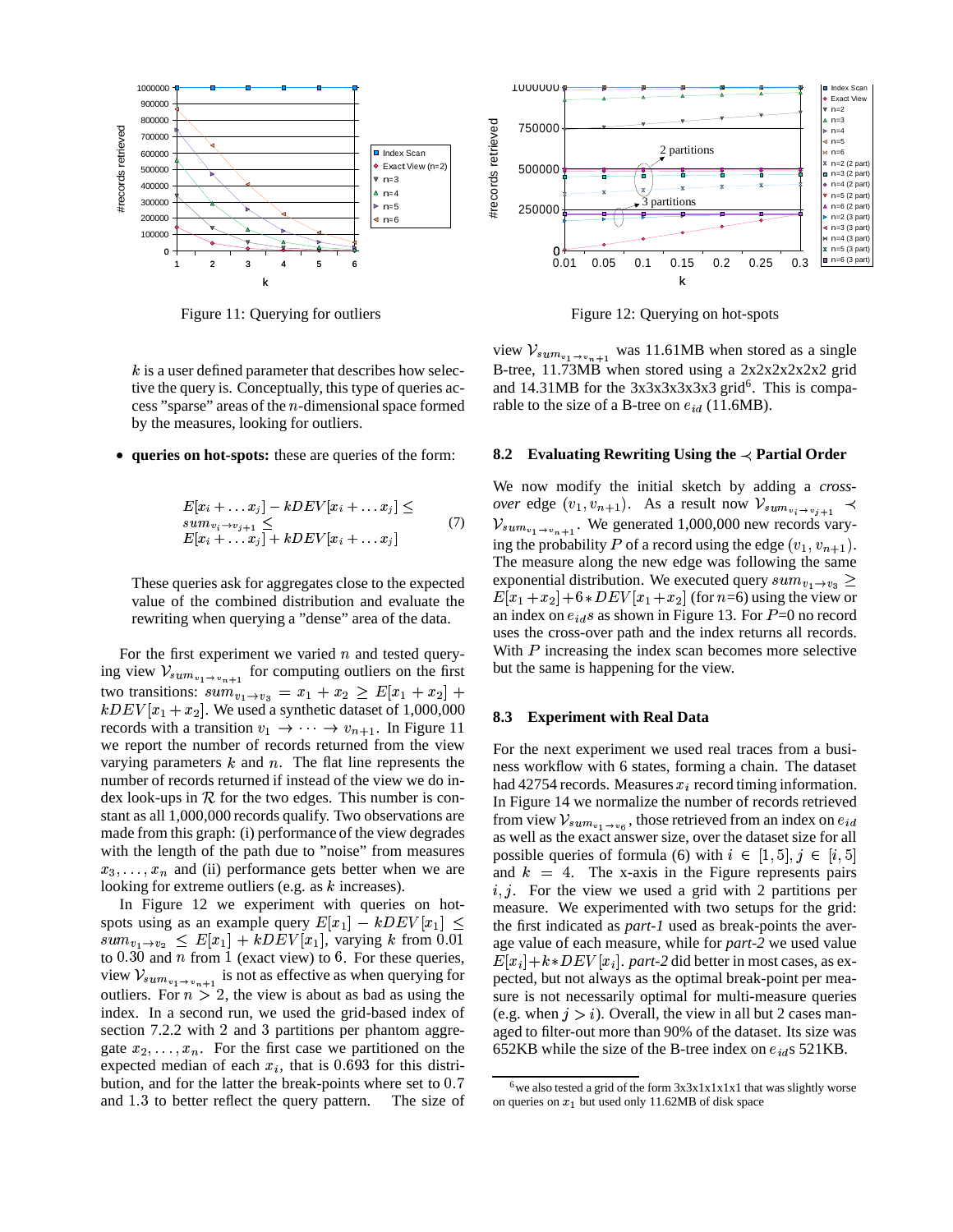

Figure 11: Querying for outliers

 $k$  is a user defined parameter that describes how selective the query is. Conceptually, this type of queries access "sparse" areas of the  $n$ -dimensional space formed by the measures, looking for outliers.

• queries on hot-spots: these are queries of the form:

$$
E[x_i + \dots x_j] - kDEV[x_i + \dots x_j] \le
$$
  
\n
$$
sum_{v_i \to v_{j+1}} \le
$$
  
\n
$$
E[x_i + \dots x_j] + kDEV[x_i + \dots x_j]
$$
 (7)

These queries ask for aggregates close to the expected value of the combined distribution and evaluate the rewriting when querying a "dense" area of the data.

For the first experiment we varied  $n$  and tested querying view  $V_{sum_{v_1 \to v_{n+1}}}$  for computing outliers on the first two transitions:  $sum_{v_1 \to v_3} = x_1 + x_2 \ge E[x_1 + x_2] +$  $kDEV[x_1 + x_2]$ . We used a synthetic dataset of 1,000,000 records with a transition  $v_1 \rightarrow \cdots \rightarrow v_{n+1}$ . In Figure 11 we report the number of records returned from the view varying parameters  $k$  and  $n$ . The flat line represents the number of records returned if instead of the view we do index look-ups in  $R$  for the two edges. This number is constant as all 1,000,000 records qualify. Two observations are made from this graph: (i) performance of the view degrades with the length of the path due to "noise" from measures  $x_3, \ldots, x_n$  and (ii) performance gets better when we are looking for extreme outliers (e.g. as  $k$  increases).

In Figure 12 we experiment with queries on hotspots using as an example query  $E[x_1] - kDEV[x_1] \le$  $sum_{v_1 \to v_2} \leq E[x_1] + kDEV[x_1]$ , varying k from 0.01 to  $0.30$  and  $n$  from 1 (exact view) to 6. For these queries, view  $V_{sum_{v_1 \to v_{n+1}}}$  is not as effective as when querying for outliers. For  $n > 2$ , the view is about as bad as using the index. In a second run, we used the grid-based index of section 7.2.2 with 2 and 3 partitions per phantom aggregate  $x_2, \ldots, x_n$ . For the first case we partitioned on the expected median of each  $x_i$ , that is 0.693 for this distribution, and for the latter the break-points where set to 0.7 and 1.3 to better reflect the query pattern. The size of



Figure 12: Querying on hot-spots

view  $V_{sum_{v_1 \to v_{n+1}}}$  was 11.61MB when stored as a single B-tree, 11.73MB when stored using a 2x2x2x2x2x2 grid and 14.31MB for the  $3x3x3x3x3x3$  grid<sup>6</sup>. This is comparable to the size of a B-tree on  $e_{id}$  (11.6MB).

#### 8.2 Evaluating Rewriting Using the  $\prec$  Partial Order

We now modify the initial sketch by adding a crossover edge  $(v_1, v_{n+1})$ . As a result now  $\mathcal{V}_{sum_{v_i \to v_{i+1}}}$  $V_{sum_{v_1 \to v_{n+1}}}$ . We generated 1,000,000 new records varying the probability P of a record using the edge  $(v_1, v_{n+1})$ . The measure along the new edge was following the same exponential distribution. We executed query  $sum_{v_1 \to v_3} \ge$  $E[x_1+x_2]+6*DEV[x_1+x_2]$  (for n=6) using the view or an index on  $e_{id}s$  as shown in Figure 13. For  $P=0$  no record uses the cross-over path and the index returns all records. With  $P$  increasing the index scan becomes more selective but the same is happening for the view.

#### 8.3 Experiment with Real Data

For the next experiment we used real traces from a business workflow with 6 states, forming a chain. The dataset had 42754 records. Measures  $x_i$  record timing information. In Figure 14 we normalize the number of records retrieved from view  $V_{sum_{v_1 \to v_6}}$ , those retrieved from an index on  $e_{id}$ as well as the exact answer size, over the dataset size for all possible queries of formula (6) with  $i \in [1,5], j \in [i,5]$ and  $k = 4$ . The x-axis in the Figure represents pairs  $i, j$ . For the view we used a grid with 2 partitions per measure. We experimented with two setups for the grid: the first indicated as *part-1* used as break-points the average value of each measure, while for *part-2* we used value  $E[x_i]+k*DEV[x_i]$ . part-2 did better in most cases, as expected, but not always as the optimal break-point per measure is not necessarily optimal for multi-measure queries (e.g. when  $j > i$ ). Overall, the view in all but 2 cases managed to filter-out more than 90% of the dataset. Its size was 652KB while the size of the B-tree index on  $e_{id}$ s 521KB.

 $6$  we also tested a grid of the form  $3x3x1x1x1x1$  that was slightly worse on queries on  $x_1$  but used only 11.62MB of disk space